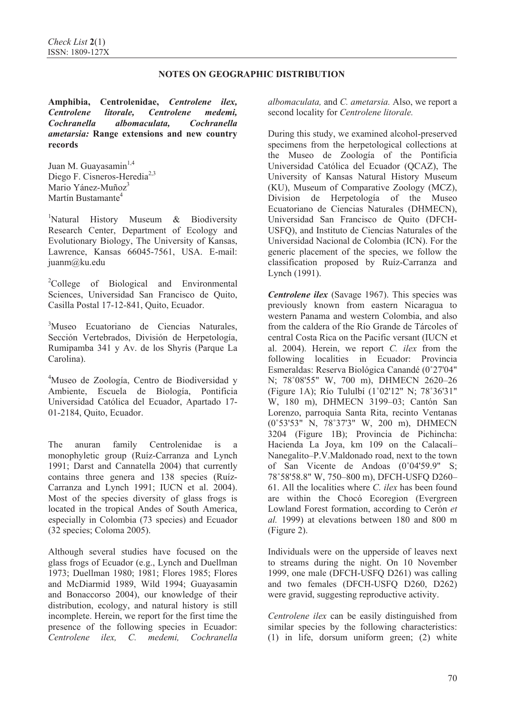**Amphibia, Centrolenidae,** *Centrolene ilex, Centrolene litorale, Centrolene medemi, Cochranella albomaculata, Cochranella ametarsia:* **Range extensions and new country records**

Juan M. Guayasamin<sup>1,4</sup> Diego F. Cisneros-Heredia<sup>2,3</sup> Mario Yánez-Muñoz<sup>3</sup> Martín Bustamante<sup>4</sup>

<sup>1</sup>Natural History Museum & Biodiversity Research Center, Department of Ecology and Evolutionary Biology, The University of Kansas, Lawrence, Kansas 66045-7561, USA. E-mail: juanm@ku.edu

<sup>2</sup>College of Biological and Environmental Sciences, Universidad San Francisco de Quito, Casilla Postal 17-12-841, Quito, Ecuador.

<sup>3</sup>Museo Ecuatoriano de Ciencias Naturales, Sección Vertebrados, División de Herpetología, Rumipamba 341 y Av. de los Shyris (Parque La Carolina).

4 Museo de Zoología, Centro de Biodiversidad y Ambiente, Escuela de Biología, Pontificia Universidad Católica del Ecuador, Apartado 17- 01-2184, Quito, Ecuador.

The anuran family Centrolenidae is a monophyletic group (Ruíz-Carranza and Lynch 1991; Darst and Cannatella 2004) that currently contains three genera and 138 species (Ruíz-Carranza and Lynch 1991; IUCN et al. 2004). Most of the species diversity of glass frogs is located in the tropical Andes of South America, especially in Colombia (73 species) and Ecuador (32 species; Coloma 2005).

Although several studies have focused on the glass frogs of Ecuador (e.g., Lynch and Duellman 1973; Duellman 1980; 1981; Flores 1985; Flores and McDiarmid 1989, Wild 1994; Guayasamin and Bonaccorso 2004), our knowledge of their distribution, ecology, and natural history is still incomplete. Herein, we report for the first time the presence of the following species in Ecuador: *Centrolene ilex, C. medemi, Cochranella* *albomaculata,* and *C. ametarsia.* Also, we report a second locality for *Centrolene litorale.* 

During this study, we examined alcohol-preserved specimens from the herpetological collections at the Museo de Zoología of the Pontificia Universidad Católica del Ecuador (QCAZ), The University of Kansas Natural History Museum (KU), Museum of Comparative Zoology (MCZ), Division de Herpetología of the Museo Ecuatoriano de Ciencias Naturales (DHMECN), Universidad San Francisco de Quito (DFCH-USFQ), and Instituto de Ciencias Naturales of the Universidad Nacional de Colombia (ICN). For the generic placement of the species, we follow the classification proposed by Ruíz-Carranza and Lynch (1991).

*Centrolene ilex* (Savage 1967). This species was previously known from eastern Nicaragua to western Panama and western Colombia, and also from the caldera of the Río Grande de Tárcoles of central Costa Rica on the Pacific versant (IUCN et al. 2004). Herein, we report *C. ilex* from the following localities in Ecuador: Provincia Esmeraldas: Reserva Biológica Canandé (0˚27'04" N; 78˚08'55" W, 700 m), DHMECN 2620–26 (Figure 1A); Río Tululbí (1˚02'12" N; 78˚36'31" W, 180 m), DHMECN 3199–03; Cantón San Lorenzo, parroquia Santa Rita, recinto Ventanas (0˚53'53" N, 78˚37'3" W, 200 m), DHMECN 3204 (Figure 1B); Provincia de Pichincha: Hacienda La Joya, km 109 on the Calacalí– Nanegalito–P.V.Maldonado road, next to the town of San Vicente de Andoas (0˚04'59.9" S; 78˚58'58.8" W, 750–800 m), DFCH-USFQ D260– 61. All the localities where *C. ilex* has been found are within the Chocó Ecoregion (Evergreen Lowland Forest formation, according to Cerón *et al.* 1999) at elevations between 180 and 800 m (Figure 2).

Individuals were on the upperside of leaves next to streams during the night. On 10 November 1999, one male (DFCH-USFQ D261) was calling and two females (DFCH-USFQ D260, D262) were gravid, suggesting reproductive activity.

*Centrolene ilex* can be easily distinguished from similar species by the following characteristics: (1) in life, dorsum uniform green; (2) white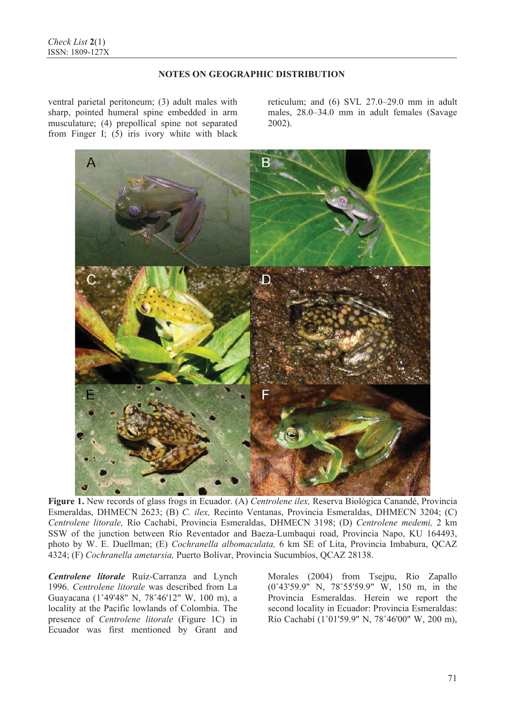ventral parietal peritoneum; (3) adult males with sharp, pointed humeral spine embedded in arm musculature; (4) prepollical spine not separated from Finger I; (5) iris ivory white with black

reticulum; and (6) SVL 27.0–29.0 mm in adult males, 28.0–34.0 mm in adult females (Savage 2002).



**Figure 1.** New records of glass frogs in Ecuador. (A) *Centrolene ilex,* Reserva Biológica Canandé, Provincia Esmeraldas, DHMECN 2623; (B) *C. ilex,* Recinto Ventanas, Provincia Esmeraldas, DHMECN 3204; (C) *Centrolene litorale,* Río Cachabí, Provincia Esmeraldas, DHMECN 3198; (D) *Centrolene medemi,* 2 km SSW of the junction between Río Reventador and Baeza-Lumbaqui road, Provincia Napo, KU 164493, photo by W. E. Duellman; (E) *Cochranella albomaculata,* 6 km SE of Lita, Provincia Imbabura, QCAZ 4324; (F) *Cochranella ametarsia,* Puerto Bolívar, Provincia Sucumbíos, QCAZ 28138.

*Centrolene litorale* Ruíz-Carranza and Lynch 1996. *Centrolene litorale* was described from La Guayacana (1˚49'48" N, 78˚46'12" W, 100 m), a locality at the Pacific lowlands of Colombia. The presence of *Centrolene litorale* (Figure 1C) in Ecuador was first mentioned by Grant and Morales (2004) from Tsejpu, Rio Zapallo (0˚43'59.9" N, 78˚55'59.9" W, 150 m, in the Provincia Esmeraldas. Herein we report the second locality in Ecuador: Provincia Esmeraldas: Río Cachabí (1˚01'59.9" N, 78˚46'00" W, 200 m),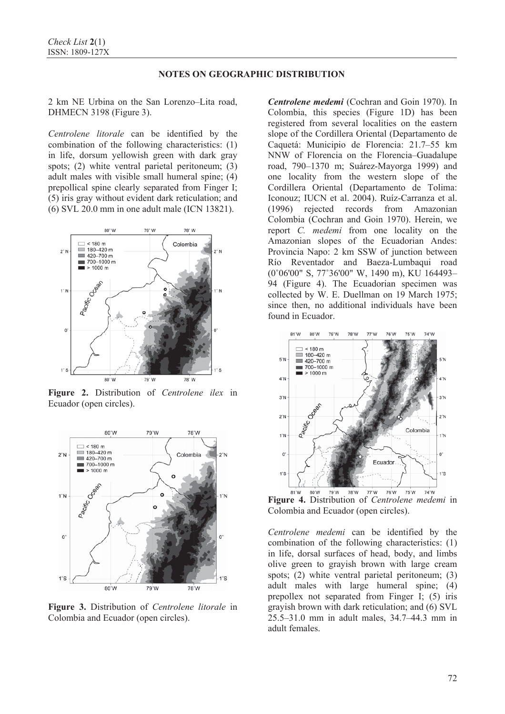2 km NE Urbina on the San Lorenzo–Lita road, DHMECN 3198 (Figure 3).

*Centrolene litorale* can be identified by the combination of the following characteristics: (1) in life, dorsum yellowish green with dark gray spots; (2) white ventral parietal peritoneum; (3) adult males with visible small humeral spine; (4) prepollical spine clearly separated from Finger I; (5) iris gray without evident dark reticulation; and (6) SVL 20.0 mm in one adult male (ICN 13821).



**Figure 2.** Distribution of *Centrolene ilex* in Ecuador (open circles).



**Figure 3.** Distribution of *Centrolene litorale* in Colombia and Ecuador (open circles).

*Centrolene medemi* (Cochran and Goin 1970). In Colombia, this species (Figure 1D) has been registered from several localities on the eastern slope of the Cordillera Oriental (Departamento de Caquetá: Municipio de Florencia: 21.7–55 km NNW of Florencia on the Florencia–Guadalupe road, 790–1370 m; Suárez-Mayorga 1999) and one locality from the western slope of the Cordillera Oriental (Departamento de Tolima: Iconouz; IUCN et al. 2004). Ruíz-Carranza et al. (1996) rejected records from Amazonian Colombia (Cochran and Goin 1970). Herein, we report *C. medemi* from one locality on the Amazonian slopes of the Ecuadorian Andes: Provincia Napo: 2 km SSW of junction between Río Reventador and Baeza-Lumbaqui road (0˚06'00" S, 77˚36'00" W, 1490 m), KU 164493– 94 (Figure 4). The Ecuadorian specimen was collected by W. E. Duellman on 19 March 1975; since then, no additional individuals have been found in Ecuador.



**Figure 4.** Distribution of *Centrolene medemi* in Colombia and Ecuador (open circles).

*Centrolene medemi* can be identified by the combination of the following characteristics: (1) in life, dorsal surfaces of head, body, and limbs olive green to grayish brown with large cream spots; (2) white ventral parietal peritoneum; (3) adult males with large humeral spine; (4) prepollex not separated from Finger I; (5) iris grayish brown with dark reticulation; and (6) SVL 25.5–31.0 mm in adult males, 34.7–44.3 mm in adult females.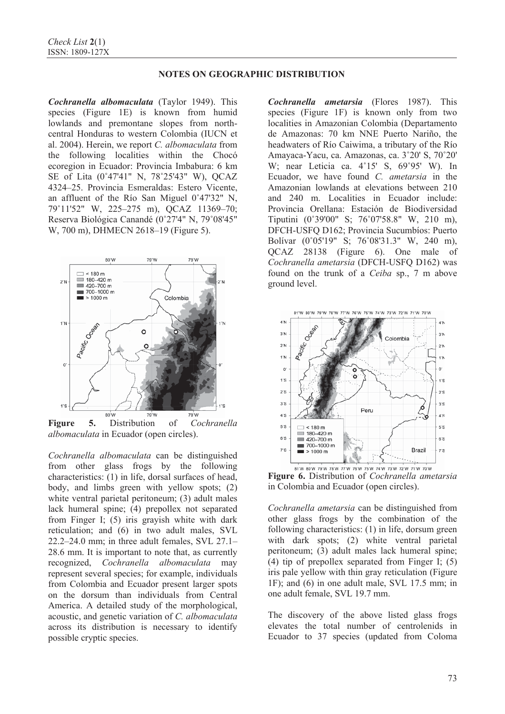*Cochranella albomaculata* (Taylor 1949). This species (Figure 1E) is known from humid lowlands and premontane slopes from northcentral Honduras to western Colombia (IUCN et al. 2004). Herein, we report *C. albomaculata* from the following localities within the Chocó ecoregion in Ecuador: Provincia Imbabura: 6 km SE of Lita (0˚47'41" N, 78˚25'43" W), QCAZ 4324–25. Provincia Esmeraldas: Estero Vicente, an affluent of the Río San Miguel 0˚47'32" N, 79˚11'52" W, 225–275 m), QCAZ 11369–70; Reserva Biológica Canandé (0˚27'4" N, 79˚08'45" W, 700 m), DHMECN 2618–19 (Figure 5).



**Figure 5.** Distribution of *Cochranella albomaculata* in Ecuador (open circles).

*Cochranella albomaculata* can be distinguished from other glass frogs by the following characteristics: (1) in life, dorsal surfaces of head, body, and limbs green with yellow spots; (2) white ventral parietal peritoneum; (3) adult males lack humeral spine; (4) prepollex not separated from Finger I; (5) iris grayish white with dark reticulation; and (6) in two adult males, SVL 22.2–24.0 mm; in three adult females, SVL 27.1– 28.6 mm. It is important to note that, as currently recognized, *Cochranella albomaculata* may represent several species; for example, individuals from Colombia and Ecuador present larger spots on the dorsum than individuals from Central America. A detailed study of the morphological, acoustic, and genetic variation of *C. albomaculata* across its distribution is necessary to identify possible cryptic species.

*Cochranella ametarsia* (Flores 1987). This species (Figure 1F) is known only from two localities in Amazonian Colombia (Departamento de Amazonas: 70 km NNE Puerto Nariño, the headwaters of Río Caiwima, a tributary of the Río Amayaca-Yacu, ca. Amazonas, ca. 3˚20' S, 70˚20' W; near Leticia ca. 4˚15' S, 69˚95' W). In Ecuador, we have found *C. ametarsia* in the Amazonian lowlands at elevations between 210 and 240 m. Localities in Ecuador include: Provincia Orellana: Estación de Biodiversidad Tiputini (0˚39'00" S; 76˚07'58.8" W, 210 m), DFCH-USFQ D162; Provincia Sucumbíos: Puerto Bolívar (0˚05'19" S; 76˚08'31.3" W, 240 m), QCAZ 28138 (Figure 6). One male of *Cochranella ametarsia* (DFCH-USFQ D162) was found on the trunk of a *Ceiba* sp., 7 m above ground level.



**Figure 6.** Distribution of *Cochranella ametarsia* in Colombia and Ecuador (open circles).

*Cochranella ametarsia* can be distinguished from other glass frogs by the combination of the following characteristics: (1) in life, dorsum green with dark spots; (2) white ventral parietal peritoneum; (3) adult males lack humeral spine; (4) tip of prepollex separated from Finger I; (5) iris pale yellow with thin gray reticulation (Figure 1F); and (6) in one adult male, SVL 17.5 mm; in one adult female, SVL 19.7 mm.

The discovery of the above listed glass frogs elevates the total number of centrolenids in Ecuador to 37 species (updated from Coloma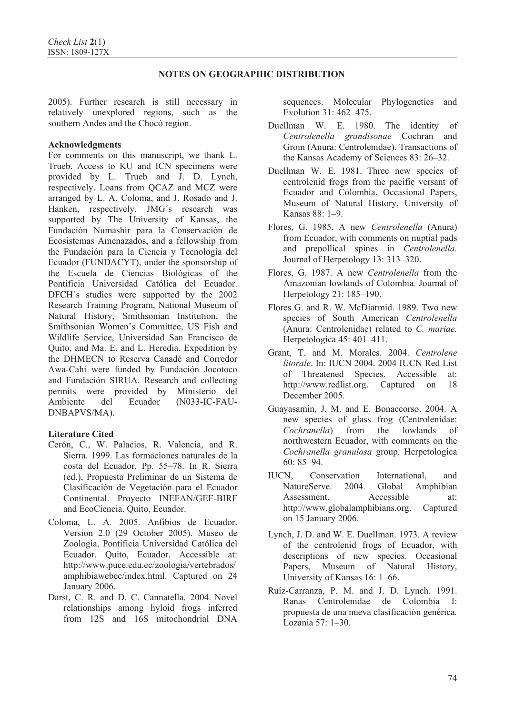2005). Further research is still necessary in relatively unexplored regions, such as the southern Andes and the Chocó region.

### **Acknowledgments**

For comments on this manuscript, we thank L. Trueb. Access to KU and ICN specimens were provided by L. Trueb and J. D. Lynch, respectively. Loans from QCAZ and MCZ were arranged by L. A. Coloma, and J. Rosado and J. Hanken, respectively. JMG´s research was supported by The University of Kansas, the Fundación Numashir para la Conservación de Ecosistemas Amenazados, and a fellowship from the Fundación para la Ciencia y Tecnología del Ecuador (FUNDACYT), under the sponsorship of the Escuela de Ciencias Biológicas of the Pontificia Universidad Católica del Ecuador. DFCH´s studies were supported by the 2002 Research Training Program, National Museum of Natural History, Smithsonian Institution, the Smithsonian Women's Committee, US Fish and Wildlife Service, Universidad San Francisco de Quito, and Ma. E. and L. Heredia. Expedition by the DHMECN to Reserva Canadé and Corredor Awa-Cahi were funded by Fundación Jocotoco and Fundación SIRUA. Research and collecting permits were provided by Ministerio del Ambiente del Ecuador (N033-IC-FAU-DNBAPVS/MA).

# **Literature Cited**

- Cerón, C., W. Palacios, R. Valencia, and R. Sierra. 1999. Las formaciones naturales de la costa del Ecuador. Pp. 55–78. In R. Sierra (ed.), Propuesta Preliminar de un Sistema de Clasificación de Vegetación para el Ecuador Continental. Proyecto INEFAN/GEF-BIRF and EcoCiencia. Quito, Ecuador.
- Coloma, L. A. 2005. Anfibios de Ecuador. Version 2.0 (29 October 2005). Museo de Zoología, Pontificia Universidad Católica del Ecuador. Quito, Ecuador. Accessible at: http://www.puce.edu.ec/zoologia/vertebrados/ amphibiawebec/index.html. Captured on 24 January 2006.
- Darst, C. R. and D. C. Cannatella. 2004. Novel relationships among hyloid frogs inferred from 12S and 16S mitochondrial DNA

sequences. Molecular Phylogenetics and Evolution 31: 462–475.

- Duellman W. E. 1980. The identity of *Centrolenella grandisonae* Cochran and Groin (Anura: Centrolenidae). Transactions of the Kansas Academy of Sciences 83: 26–32.
- Duellman W. E. 1981. Three new species of centrolenid frogs from the pacific versant of Ecuador and Colombia. Occasional Papers, Museum of Natural History, University of Kansas 88: 1–9.
- Flores, G. 1985. A new *Centrolenella* (Anura) from Ecuador, with comments on nuptial pads and prepollical spines in *Centrolenella.* Journal of Herpetology 13: 313–320.
- Flores, G. 1987. A new *Centrolenella* from the Amazonian lowlands of Colombia*.* Journal of Herpetology 21: 185–190.
- Flores G. and R. W. McDiarmid. 1989. Two new species of South American *Centrolenella* (Anura: Centrolenidae) related to *C. mariae.* Herpetologica 45: 401–411.
- Grant, T. and M. Morales. 2004. *Centrolene litorale*. In: IUCN 2004. 2004 IUCN Red List of Threatened Species. Accessible at: http://www.redlist.org. Captured on 18 December 2005.
- Guayasamin, J. M. and E. Bonaccorso. 2004. A new species of glass frog (Centrolenidae: *Cochranella*) from the lowlands of northwestern Ecuador, with comments on the *Cochranella granulosa* group. Herpetologica 60: 85–94.
- IUCN, Conservation International, and NatureServe. 2004. Global Amphibian Assessment. Accessible at: http://www.globalamphibians.org. Captured on 15 January 2006.
- Lynch, J. D. and W. E. Duellman. 1973. A review of the centrolenid frogs of Ecuador, with descriptions of new species*.* Occasional Papers, Museum of Natural History, University of Kansas 16: 1–66.
- Ruíz-Carranza, P. M. and J. D. Lynch. 1991. Ranas Centrolenidae de Colombia I: propuesta de una nueva clasificación genérica*.* Lozania 57: 1–30.